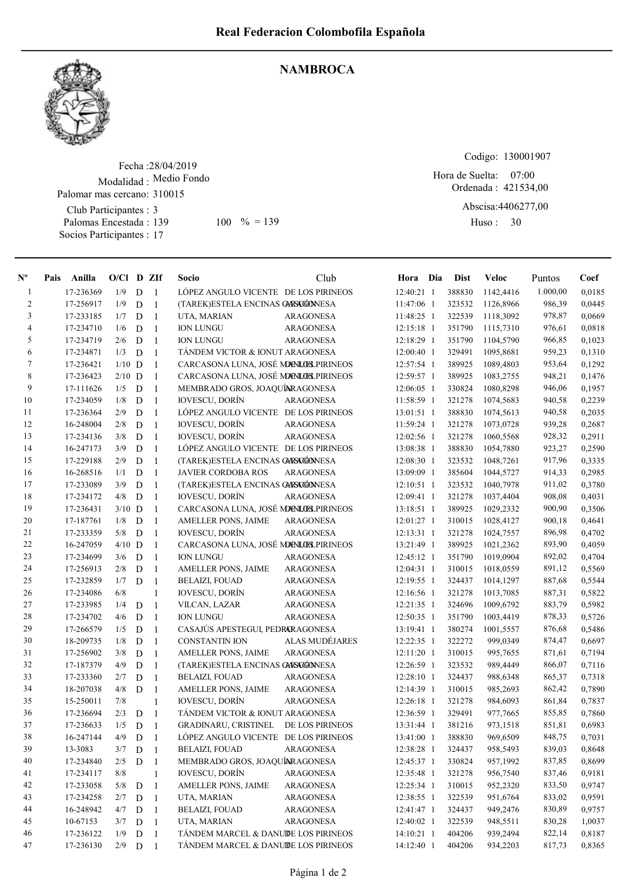

## **NAMBROCA**

Fecha : 28/04/2019 Modalidad : Medio Fondo Club Participantes : 3 Palomas Encestada : 139 Socios Participantes : 17 Palomar mas cercano: 310015 139 100 % = 139 Huso: 30

Codigo: 130001907

Ordenada : 421534,00 Abscisa: 4406277,00 Hora de Suelta: 07:00

Huso: 30

| $N^{\circ}$    | Pais | Anilla    | $O/Cl$ D ZIf |             |                | Socio                                | Club             | Hora Dia     | Dist   | <b>Veloc</b> | Puntos   | Coef   |
|----------------|------|-----------|--------------|-------------|----------------|--------------------------------------|------------------|--------------|--------|--------------|----------|--------|
| -1             |      | 17-236369 | 1/9          | D           | $\overline{1}$ | LÓPEZ ANGULO VICENTE DE LOS PIRINEOS |                  | 12:40:21 1   | 388830 | 1142,4416    | 1.000,00 | 0,0185 |
| $\overline{c}$ |      | 17-256917 | 1/9          | D           | $\overline{1}$ | (TAREK)ESTELA ENCINAS GARSCGONESA    |                  | 11:47:06 1   | 323532 | 1126,8966    | 986,39   | 0,0445 |
| 3              |      | 17-233185 | 1/7          | D           | -1             | UTA, MARIAN                          | <b>ARAGONESA</b> | 11:48:25 1   | 322539 | 1118,3092    | 978,87   | 0,0669 |
| $\overline{4}$ |      | 17-234710 | 1/6          | D           | $\overline{1}$ | <b>ION LUNGU</b>                     | <b>ARAGONESA</b> | 12:15:18 1   | 351790 | 1115,7310    | 976,61   | 0,0818 |
| 5              |      | 17-234719 | 2/6          | D           | $\overline{1}$ | <b>ION LUNGU</b>                     | <b>ARAGONESA</b> | 12:18:29 1   | 351790 | 1104,5790    | 966,85   | 0,1023 |
| 6              |      | 17-234871 | 1/3          | D           | $\overline{1}$ | TÁNDEM VICTOR & IONUT ARAGONESA      |                  | 12:00:40 1   | 329491 | 1095,8681    | 959,23   | 0,1310 |
| 7              |      | 17-236421 | $1/10$ D     |             | -1             | CARCASONA LUNA, JOSÉ MENLOS PIRINEOS |                  | 12:57:54 1   | 389925 | 1089,4803    | 953,64   | 0,1292 |
| 8              |      | 17-236423 | $2/10$ D     |             | $\mathbf{1}$   | CARCASONA LUNA, JOSÉ MENLOS PIRINEOS |                  | 12:59:57 1   | 389925 | 1083,2755    | 948,21   | 0,1476 |
| 9              |      | 17-111626 | 1/5          | D           | -1             | MEMBRADO GROS, JOAQUÍARAGONESA       |                  | 12:06:05 1   | 330824 | 1080,8298    | 946,06   | 0,1957 |
| 10             |      | 17-234059 | 1/8          | $\mathbf D$ | -1             | <b>IOVESCU, DORÍN</b>                | ARAGONESA        | 11:58:59 1   | 321278 | 1074,5683    | 940,58   | 0,2239 |
| 11             |      | 17-236364 | 2/9          | D           | $\overline{1}$ | LÓPEZ ANGULO VICENTE DE LOS PIRINEOS |                  | 13:01:51 1   | 388830 | 1074,5613    | 940,58   | 0,2035 |
| 12             |      | 16-248004 | 2/8          | D           | $\overline{1}$ | <b>IOVESCU, DORÍN</b>                | <b>ARAGONESA</b> | 11:59:24 1   | 321278 | 1073,0728    | 939,28   | 0,2687 |
| 13             |      | 17-234136 | 3/8          | D           | $\overline{1}$ | <b>IOVESCU, DORÍN</b>                | <b>ARAGONESA</b> | 12:02:56 1   | 321278 | 1060,5568    | 928,32   | 0,2911 |
| 14             |      | 16-247173 | 3/9          | D           | $\overline{1}$ | LÓPEZ ANGULO VICENTE DE LOS PIRINEOS |                  | 13:08:38 1   | 388830 | 1054,7880    | 923,27   | 0,2590 |
| 15             |      | 17-229188 | 2/9          | D           | $\mathbf{1}$   | (TAREK)ESTELA ENCINAS GASAGÓNESA     |                  | 12:08:30 1   | 323532 | 1048,7261    | 917,96   | 0,3335 |
| 16             |      | 16-268516 | 1/1          | D           | $\overline{1}$ | JAVIER CORDOBA ROS                   | <b>ARAGONESA</b> | 13:09:09 1   | 385604 | 1044,5727    | 914,33   | 0,2985 |
| 17             |      | 17-233089 | 3/9          | D           | $\overline{1}$ | (TAREK)ESTELA ENCINAS GARSCGONESA    |                  | $12:10:51$ 1 | 323532 | 1040,7978    | 911,02   | 0,3780 |
| 18             |      | 17-234172 | 4/8          | D           | $\overline{1}$ | <b>IOVESCU, DORÍN</b>                | <b>ARAGONESA</b> | 12:09:41 1   | 321278 | 1037,4404    | 908,08   | 0,4031 |
| 19             |      | 17-236431 | $3/10$ D     |             | -1             | CARCASONA LUNA, JOSÉ MENLOS PIRINEOS |                  | 13:18:51 1   | 389925 | 1029,2332    | 900,90   | 0,3506 |
| 20             |      | 17-187761 | 1/8          | D           | $\mathbf{1}$   | AMELLER PONS, JAIME                  | <b>ARAGONESA</b> | 12:01:27 1   | 310015 | 1028,4127    | 900,18   | 0,4641 |
| 21             |      | 17-233359 | 5/8          | D           | -1             | <b>IOVESCU, DORÍN</b>                | <b>ARAGONESA</b> | $12:13:31$ 1 | 321278 | 1024,7557    | 896,98   | 0,4702 |
| 22             |      | 16-247059 | $4/10$ D     |             | -1             | CARCASONA LUNA, JOSÉ MENLOS PIRINEOS |                  | 13:21:49 1   | 389925 | 1021,2362    | 893,90   | 0,4059 |
| 23             |      | 17-234699 | 3/6          | D           | $\overline{1}$ | <b>ION LUNGU</b>                     | <b>ARAGONESA</b> | 12:45:12 1   | 351790 | 1019,0904    | 892,02   | 0,4704 |
| 24             |      | 17-256913 | 2/8          | D           | $\overline{1}$ | AMELLER PONS, JAIME                  | <b>ARAGONESA</b> | 12:04:31 1   | 310015 | 1018,0559    | 891,12   | 0,5569 |
| 25             |      | 17-232859 | 1/7          | D           | $\mathbf{1}$   | <b>BELAIZI, FOUAD</b>                | ARAGONESA        | 12:19:55 1   | 324437 | 1014,1297    | 887,68   | 0,5544 |
| 26             |      | 17-234086 | 6/8          |             | $\mathbf{1}$   | <b>IOVESCU, DORÍN</b>                | <b>ARAGONESA</b> | 12:16:56 1   | 321278 | 1013,7085    | 887,31   | 0,5822 |
| $27\,$         |      | 17-233985 | 1/4          | D           | $\mathbf{1}$   | VILCAN, LAZAR                        | ARAGONESA        | 12:21:35 1   | 324696 | 1009,6792    | 883,79   | 0,5982 |
| 28             |      | 17-234702 | 4/6          | D           | $\overline{1}$ | <b>ION LUNGU</b>                     | <b>ARAGONESA</b> | 12:50:35 1   | 351790 | 1003,4419    | 878,33   | 0,5726 |
| 29             |      | 17-266579 | 1/5          | D           | $\overline{1}$ | CASAJÚS APESTEGUI, PEDRARAGONESA     |                  | 13:19:41 1   | 380274 | 1001,5557    | 876,68   | 0,5486 |
| 30             |      | 18-209735 | 1/8          | D           | $\overline{1}$ | <b>CONSTANTIN ION</b>                | ALAS MUDÉJARES   | 12:22:35 1   | 322272 | 999,0349     | 874,47   | 0,6697 |
| 31             |      | 17-256902 | 3/8          | D           | $\mathbf{1}$   | AMELLER PONS, JAIME                  | <b>ARAGONESA</b> | 12:11:20 1   | 310015 | 995,7655     | 871,61   | 0,7194 |
| 32             |      | 17-187379 | 4/9          | D           | $\mathbf{1}$   | (TAREK)ESTELA ENCINAS GARSCGONESA    |                  | 12:26:59 1   | 323532 | 989,4449     | 866,07   | 0,7116 |
| 33             |      | 17-233360 | 2/7          | D           | 1              | <b>BELAIZI, FOUAD</b>                | <b>ARAGONESA</b> | 12:28:10 1   | 324437 | 988,6348     | 865,37   | 0,7318 |
| 34             |      | 18-207038 | 4/8          | D           | $\mathbf{1}$   | AMELLER PONS, JAIME                  | <b>ARAGONESA</b> | 12:14:39 1   | 310015 | 985,2693     | 862,42   | 0,7890 |
| 35             |      | 15-250011 | 7/8          |             | $\mathbf{1}$   | <b>IOVESCU, DORÍN</b>                | <b>ARAGONESA</b> | 12:26:18 1   | 321278 | 984,6093     | 861,84   | 0,7837 |
| 36             |      | 17-236694 | 2/3          | D           | $\overline{1}$ | TÁNDEM VICTOR & IONUT ARAGONESA      |                  | 12:36:59 1   | 329491 | 977,7665     | 855,85   | 0,7860 |
| 37             |      | 17-236633 | 1/5          | D           | $\overline{1}$ | GRADINARU, CRISTINEL DE LOS PIRINEOS |                  | 13:31:44 1   | 381216 | 973,1518     | 851,81   | 0,6983 |
| 38             |      | 16-247144 | 4/9          | ${\rm D}$   | $\mathbf{1}$   | LÓPEZ ANGULO VICENTE DE LOS PIRINEOS |                  | 13:41:00 1   | 388830 | 969,6509     | 848,75   | 0,7031 |
| 39             |      | 13-3083   | 3/7          | D           | -1             | <b>BELAIZI, FOUAD</b>                | ARAGONESA        | 12:38:28 1   | 324437 | 958,5493     | 839,03   | 0,8648 |
| 40             |      | 17-234840 | 2/5          | $\mathbf D$ | $\overline{1}$ | MEMBRADO GROS, JOAQUÍNRAGONESA       |                  | 12:45:37 1   | 330824 | 957,1992     | 837,85   | 0,8699 |
| 41             |      | 17-234117 | 8/8          |             | $\mathbf{1}$   | <b>IOVESCU, DORÍN</b>                | <b>ARAGONESA</b> | 12:35:48 1   | 321278 | 956,7540     | 837,46   | 0,9181 |
| 42             |      | 17-233058 | 5/8          | $\mathbf D$ | -1             | AMELLER PONS, JAIME                  | ARAGONESA        | 12:25:34 1   | 310015 | 952,2320     | 833,50   | 0,9747 |
| 43             |      | 17-234258 | 2/7          | D           | $\overline{1}$ | UTA, MARIAN                          | ARAGONESA        | 12:38:55 1   | 322539 | 951,6764     | 833,02   | 0,9591 |
| 44             |      | 16-248942 | 4/7          | $\mathbf D$ | -1             | <b>BELAIZI, FOUAD</b>                | ARAGONESA        | 12:41:47 1   | 324437 | 949,2476     | 830,89   | 0,9757 |
| 45             |      | 10-67153  | 3/7          | D           | -1             | UTA, MARIAN                          | <b>ARAGONESA</b> | 12:40:02 1   | 322539 | 948,5511     | 830,28   | 1,0037 |
| 46             |      | 17-236122 | 1/9          | D           | -1             | TÁNDEM MARCEL & DANUIDE LOS PIRINEOS |                  | 14:10:21 1   | 404206 | 939,2494     | 822,14   | 0,8187 |
| 47             |      | 17-236130 | 2/9          | D           | -1             | TÁNDEM MARCEL & DANUIDE LOS PIRINEOS |                  | 14:12:40 1   | 404206 | 934,2203     | 817,73   | 0,8365 |